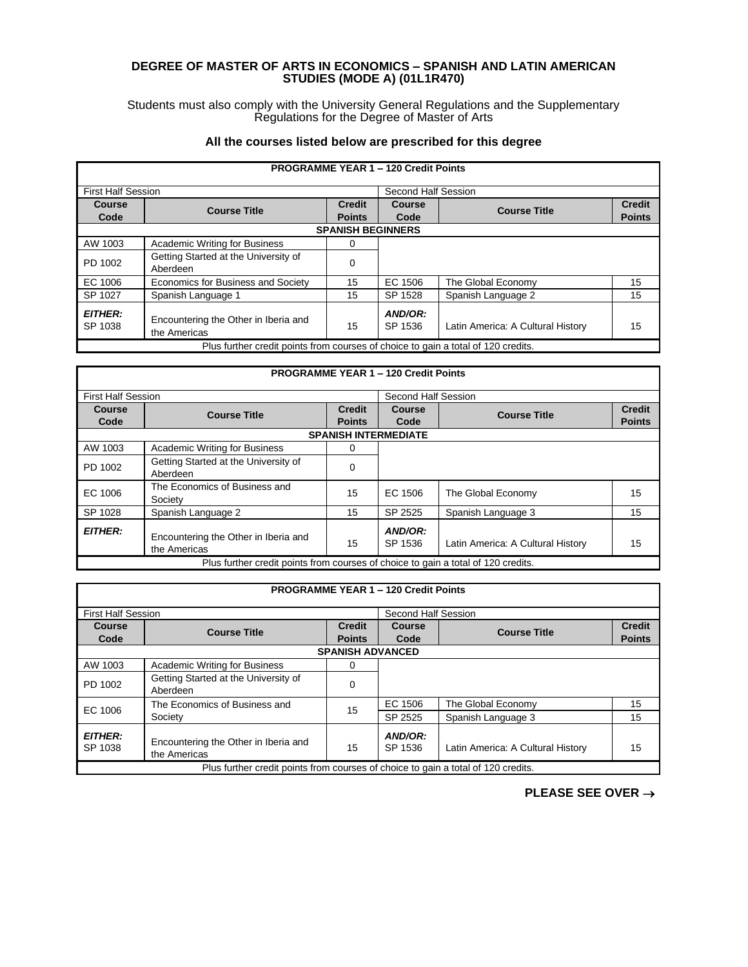## **DEGREE OF MASTER OF ARTS IN ECONOMICS – SPANISH AND LATIN AMERICAN STUDIES (MODE A) (01L1R470)**

Students must also comply with the University General Regulations and the Supplementary Regulations for the Degree of Master of Arts

## **All the courses listed below are prescribed for this degree**

|                           |                                                                                   |                          | <b>PROGRAMME YEAR 1 - 120 Credit Points</b> |                                   |               |  |
|---------------------------|-----------------------------------------------------------------------------------|--------------------------|---------------------------------------------|-----------------------------------|---------------|--|
| <b>First Half Session</b> |                                                                                   |                          | Second Half Session                         |                                   |               |  |
| Course                    | <b>Course Title</b>                                                               | <b>Credit</b>            | <b>Course</b>                               | <b>Course Title</b>               | <b>Credit</b> |  |
| Code                      |                                                                                   | <b>Points</b>            | Code                                        |                                   | <b>Points</b> |  |
|                           |                                                                                   | <b>SPANISH BEGINNERS</b> |                                             |                                   |               |  |
| AW 1003                   | <b>Academic Writing for Business</b>                                              | 0                        |                                             |                                   |               |  |
| PD 1002                   | Getting Started at the University of<br>Aberdeen                                  | 0                        |                                             |                                   |               |  |
| EC 1006                   | Economics for Business and Society                                                | 15                       | EC 1506                                     | The Global Economy                | 15            |  |
| SP 1027                   | Spanish Language 1                                                                | 15                       | SP 1528                                     | Spanish Language 2                | 15            |  |
| <b>EITHER:</b><br>SP 1038 | Encountering the Other in Iberia and<br>the Americas                              | 15                       | AND/OR:<br>SP 1536                          | Latin America: A Cultural History | 15            |  |
|                           | Plus further credit points from courses of choice to gain a total of 120 credits. |                          |                                             |                                   |               |  |

### **PROGRAMME YEAR 1 – 120 Credit Points** First Half Session Second Half Session **Course Code Course Title Credit Points Course Code Course Title Credit SPANISH INTERMEDIATE** AW 1003 | Academic Writing for Business | 0 PD 1002 Getting Started at the University of **Carry Contract Contract A** Co EC 1006 The Economics of Business and<br>Society 15 | EC 1506 | The Global Economy | 15

|                       | ------                                               |    |                    |                                   |    |
|-----------------------|------------------------------------------------------|----|--------------------|-----------------------------------|----|
| SP 1028               | Spanish Language 2                                   | 15 | SP 2525            | Spanish Language 3                | 15 |
| <i><b>EITHER:</b></i> | Encountering the Other in Iberia and<br>the Americas | 15 | AND/OR:<br>SP 1536 | Latin America: A Cultural History | 15 |
|                       | $- \cdot$<br>$\sim$ $\sim$<br>$\cdots$               |    |                    | .<br>$\cdots$                     |    |

Plus further credit points from courses of choice to gain a total of 120 credits.

|                                                                                   |                                                      |                                | <b>PROGRAMME YEAR 1 - 120 Credit Points</b> |                                   |                                |  |  |
|-----------------------------------------------------------------------------------|------------------------------------------------------|--------------------------------|---------------------------------------------|-----------------------------------|--------------------------------|--|--|
| <b>First Half Session</b>                                                         |                                                      |                                | Second Half Session                         |                                   |                                |  |  |
| <b>Course</b><br>Code                                                             | <b>Course Title</b>                                  | <b>Credit</b><br><b>Points</b> | Course<br>Code                              | <b>Course Title</b>               | <b>Credit</b><br><b>Points</b> |  |  |
|                                                                                   | <b>SPANISH ADVANCED</b>                              |                                |                                             |                                   |                                |  |  |
| AW 1003                                                                           | <b>Academic Writing for Business</b>                 | 0                              |                                             |                                   |                                |  |  |
| PD 1002                                                                           | Getting Started at the University of<br>Aberdeen     | $\Omega$                       |                                             |                                   |                                |  |  |
| EC 1006                                                                           | The Economics of Business and                        | 15                             | EC 1506                                     | The Global Economy                | 15                             |  |  |
|                                                                                   | Society                                              |                                | SP 2525                                     | Spanish Language 3                | 15                             |  |  |
| <b>EITHER:</b><br>SP 1038                                                         | Encountering the Other in Iberia and<br>the Americas | 15                             | AND/OR:<br>SP 1536                          | Latin America: A Cultural History | 15                             |  |  |
| Plus further credit points from courses of choice to gain a total of 120 credits. |                                                      |                                |                                             |                                   |                                |  |  |

**PLEASE SEE OVER** →

**Points**